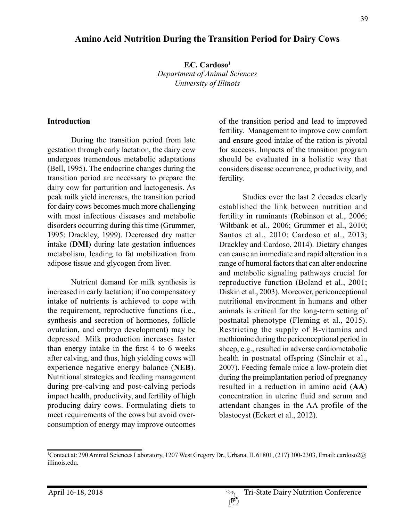# **Amino Acid Nutrition During the Transition Period for Dairy Cows**

**F.C. Cardoso1** *Department of Animal Sciences University of Illinois*

#### **Introduction**

During the transition period from late gestation through early lactation, the dairy cow undergoes tremendous metabolic adaptations (Bell, 1995). The endocrine changes during the transition period are necessary to prepare the dairy cow for parturition and lactogenesis. As peak milk yield increases, the transition period for dairy cows becomes much more challenging with most infectious diseases and metabolic disorders occurring during this time (Grummer, 1995; Drackley, 1999). Decreased dry matter intake (**DMI**) during late gestation influences metabolism, leading to fat mobilization from adipose tissue and glycogen from liver.

Nutrient demand for milk synthesis is increased in early lactation; if no compensatory intake of nutrients is achieved to cope with the requirement, reproductive functions (i.e., synthesis and secretion of hormones, follicle ovulation, and embryo development) may be depressed. Milk production increases faster than energy intake in the first 4 to 6 weeks after calving, and thus, high yielding cows will experience negative energy balance (**NEB**). Nutritional strategies and feeding management during pre-calving and post-calving periods impact health, productivity, and fertility of high producing dairy cows. Formulating diets to meet requirements of the cows but avoid overconsumption of energy may improve outcomes

of the transition period and lead to improved fertility. Management to improve cow comfort and ensure good intake of the ration is pivotal for success. Impacts of the transition program should be evaluated in a holistic way that considers disease occurrence, productivity, and fertility.

Studies over the last 2 decades clearly established the link between nutrition and fertility in ruminants (Robinson et al., 2006; Wiltbank et al., 2006; Grummer et al., 2010; Santos et al., 2010; Cardoso et al., 2013; Drackley and Cardoso, 2014). Dietary changes can cause an immediate and rapid alteration in a range of humoral factors that can alter endocrine and metabolic signaling pathways crucial for reproductive function (Boland et al., 2001; Diskin et al., 2003). Moreover, periconceptional nutritional environment in humans and other animals is critical for the long-term setting of postnatal phenotype (Fleming et al., 2015). Restricting the supply of B-vitamins and methionine during the periconceptional period in sheep, e.g., resulted in adverse cardiometabolic health in postnatal offspring (Sinclair et al., 2007). Feeding female mice a low-protein diet during the preimplantation period of pregnancy resulted in a reduction in amino acid (**AA**) concentration in uterine fluid and serum and attendant changes in the AA profile of the blastocyst (Eckert et al., 2012).

<sup>1</sup> Contact at: 290 Animal Sciences Laboratory, 1207 West Gregory Dr., Urbana, IL 61801, (217) 300-2303, Email: cardoso2@ illinois.edu.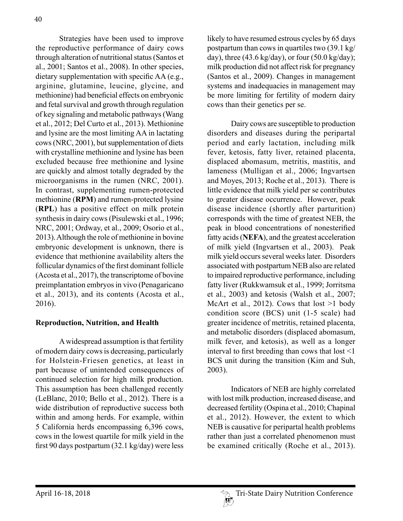Strategies have been used to improve the reproductive performance of dairy cows through alteration of nutritional status (Santos et al., 2001; Santos et al., 2008). In other species, dietary supplementation with specific AA (e.g., arginine, glutamine, leucine, glycine, and methionine) had beneficial effects on embryonic and fetal survival and growth through regulation of key signaling and metabolic pathways (Wang et al., 2012; Del Curto et al., 2013). Methionine and lysine are the most limiting AA in lactating cows (NRC, 2001), but supplementation of diets with crystalline methionine and lysine has been excluded because free methionine and lysine are quickly and almost totally degraded by the microorganisms in the rumen (NRC, 2001). In contrast, supplementing rumen-protected methionine (**RPM**) and rumen-protected lysine (**RPL**) has a positive effect on milk protein synthesis in dairy cows (Pisulewski et al., 1996; NRC, 2001; Ordway, et al., 2009; Osorio et al., 2013). Although the role of methionine in bovine embryonic development is unknown, there is evidence that methionine availability alters the follicular dynamics of the first dominant follicle (Acosta et al., 2017), the transcriptome of bovine preimplantation embryos in vivo (Penagaricano et al., 2013), and its contents (Acosta et al., 2016).

# **Reproduction, Nutrition, and Health**

A widespread assumption is that fertility of modern dairy cows is decreasing, particularly for Holstein-Friesen genetics, at least in part because of unintended consequences of continued selection for high milk production. This assumption has been challenged recently (LeBlanc, 2010; Bello et al., 2012). There is a wide distribution of reproductive success both within and among herds. For example, within 5 California herds encompassing 6,396 cows, cows in the lowest quartile for milk yield in the first 90 days postpartum (32.1 kg/day) were less

likely to have resumed estrous cycles by 65 days postpartum than cows in quartiles two (39.1 kg/ day), three  $(43.6 \text{ kg/day})$ , or four  $(50.0 \text{ kg/day})$ ; milk production did not affect risk for pregnancy (Santos et al., 2009). Changes in management systems and inadequacies in management may be more limiting for fertility of modern dairy cows than their genetics per se.

Dairy cows are susceptible to production disorders and diseases during the peripartal period and early lactation, including milk fever, ketosis, fatty liver, retained placenta, displaced abomasum, metritis, mastitis, and lameness (Mulligan et al., 2006; Ingvartsen and Moyes, 2013; Roche et al., 2013). There is little evidence that milk yield per se contributes to greater disease occurrence. However, peak disease incidence (shortly after parturition) corresponds with the time of greatest NEB, the peak in blood concentrations of nonesterified fatty acids (**NEFA**), and the greatest acceleration of milk yield (Ingvartsen et al., 2003). Peak milk yield occurs several weeks later. Disorders associated with postpartum NEB also are related to impaired reproductive performance, including fatty liver (Rukkwamsuk et al., 1999; Jorritsma et al., 2003) and ketosis (Walsh et al., 2007; McArt et al., 2012). Cows that  $lost >1$  body condition score (BCS) unit (1-5 scale) had greater incidence of metritis, retained placenta, and metabolic disorders (displaced abomasum, milk fever, and ketosis), as well as a longer interval to first breeding than cows that lost <1 BCS unit during the transition (Kim and Suh, 2003).

Indicators of NEB are highly correlated with lost milk production, increased disease, and decreased fertility (Ospina et al., 2010; Chapinal et al., 2012). However, the extent to which NEB is causative for peripartal health problems rather than just a correlated phenomenon must be examined critically (Roche et al., 2013).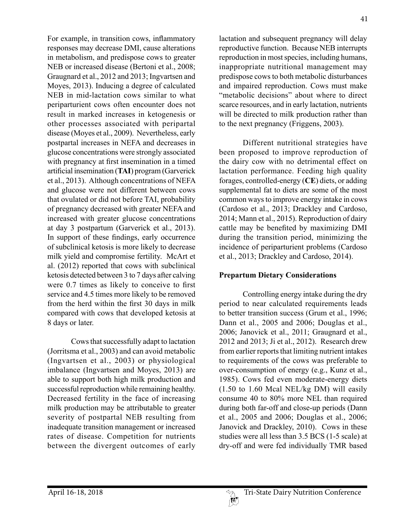For example, in transition cows, inflammatory responses may decrease DMI, cause alterations in metabolism, and predispose cows to greater NEB or increased disease (Bertoni et al., 2008; Graugnard et al., 2012 and 2013; Ingvartsen and Moyes, 2013). Inducing a degree of calculated NEB in mid-lactation cows similar to what periparturient cows often encounter does not result in marked increases in ketogenesis or other processes associated with peripartal disease (Moyes et al., 2009). Nevertheless, early postpartal increases in NEFA and decreases in glucose concentrations were strongly associated with pregnancy at first insemination in a timed artificial insemination (**TAI**) program (Garverick et al., 2013). Although concentrations of NEFA and glucose were not different between cows that ovulated or did not before TAI, probability of pregnancy decreased with greater NEFA and increased with greater glucose concentrations at day 3 postpartum (Garverick et al., 2013). In support of these findings, early occurrence of subclinical ketosis is more likely to decrease milk yield and compromise fertility. McArt et al. (2012) reported that cows with subclinical ketosis detected between 3 to 7 days after calving were 0.7 times as likely to conceive to first service and 4.5 times more likely to be removed from the herd within the first 30 days in milk compared with cows that developed ketosis at 8 days or later.

Cows that successfully adapt to lactation (Jorritsma et al., 2003) and can avoid metabolic (Ingvartsen et al., 2003) or physiological imbalance (Ingvartsen and Moyes, 2013) are able to support both high milk production and successful reproduction while remaining healthy. Decreased fertility in the face of increasing milk production may be attributable to greater severity of postpartal NEB resulting from inadequate transition management or increased rates of disease. Competition for nutrients between the divergent outcomes of early

lactation and subsequent pregnancy will delay reproductive function. Because NEB interrupts reproduction in most species, including humans, inappropriate nutritional management may predispose cows to both metabolic disturbances and impaired reproduction. Cows must make "metabolic decisions" about where to direct scarce resources, and in early lactation, nutrients will be directed to milk production rather than to the next pregnancy (Friggens, 2003).

Different nutritional strategies have been proposed to improve reproduction of the dairy cow with no detrimental effect on lactation performance. Feeding high quality forages, controlled-energy (**CE**) diets, or adding supplemental fat to diets are some of the most common ways to improve energy intake in cows (Cardoso et al., 2013; Drackley and Cardoso, 2014; Mann et al., 2015). Reproduction of dairy cattle may be benefited by maximizing DMI during the transition period, minimizing the incidence of periparturient problems (Cardoso et al., 2013; Drackley and Cardoso, 2014).

# **Prepartum Dietary Considerations**

Controlling energy intake during the dry period to near calculated requirements leads to better transition success (Grum et al., 1996; Dann et al., 2005 and 2006; Douglas et al., 2006; Janovick et al., 2011; Graugnard et al., 2012 and 2013; Ji et al., 2012). Research drew from earlier reports that limiting nutrient intakes to requirements of the cows was preferable to over-consumption of energy (e.g., Kunz et al., 1985). Cows fed even moderate-energy diets (1.50 to 1.60 Mcal NEL/kg DM) will easily consume 40 to 80% more NEL than required during both far-off and close-up periods (Dann et al., 2005 and 2006; Douglas et al., 2006; Janovick and Drackley, 2010). Cows in these studies were all less than 3.5 BCS (1-5 scale) at dry-off and were fed individually TMR based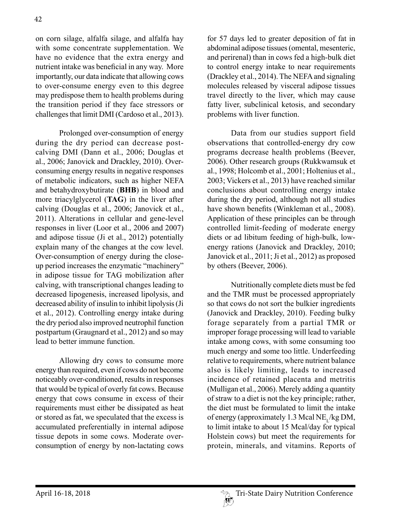on corn silage, alfalfa silage, and alfalfa hay with some concentrate supplementation. We have no evidence that the extra energy and nutrient intake was beneficial in any way. More importantly, our data indicate that allowing cows to over-consume energy even to this degree may predispose them to health problems during the transition period if they face stressors or challenges that limit DMI (Cardoso et al., 2013).

Prolonged over-consumption of energy during the dry period can decrease postcalving DMI (Dann et al., 2006; Douglas et al., 2006; Janovick and Drackley, 2010). Overconsuming energy results in negative responses of metabolic indicators, such as higher NEFA and betahydroxybutirate (**BHB**) in blood and more triacylglycerol (**TAG**) in the liver after calving (Douglas et al., 2006; Janovick et al., 2011). Alterations in cellular and gene-level responses in liver (Loor et al., 2006 and 2007) and adipose tissue (Ji et al., 2012) potentially explain many of the changes at the cow level. Over-consumption of energy during the closeup period increases the enzymatic "machinery" in adipose tissue for TAG mobilization after calving, with transcriptional changes leading to decreased lipogenesis, increased lipolysis, and decreased ability of insulin to inhibit lipolysis (Ji et al., 2012). Controlling energy intake during the dry period also improved neutrophil function postpartum (Graugnard et al., 2012) and so may lead to better immune function.

Allowing dry cows to consume more energy than required, even if cows do not become noticeably over-conditioned, results in responses that would be typical of overly fat cows. Because energy that cows consume in excess of their requirements must either be dissipated as heat or stored as fat, we speculated that the excess is accumulated preferentially in internal adipose tissue depots in some cows. Moderate overconsumption of energy by non-lactating cows

for 57 days led to greater deposition of fat in abdominal adipose tissues (omental, mesenteric, and perirenal) than in cows fed a high-bulk diet to control energy intake to near requirements (Drackley et al., 2014). The NEFA and signaling molecules released by visceral adipose tissues travel directly to the liver, which may cause fatty liver, subclinical ketosis, and secondary problems with liver function.

Data from our studies support field observations that controlled-energy dry cow programs decrease health problems (Beever, 2006). Other research groups (Rukkwamsuk et al., 1998; Holcomb et al., 2001; Holtenius et al., 2003; Vickers et al., 2013) have reached similar conclusions about controlling energy intake during the dry period, although not all studies have shown benefits (Winkleman et al., 2008). Application of these principles can be through controlled limit-feeding of moderate energy diets or ad libitum feeding of high-bulk, lowenergy rations (Janovick and Drackley, 2010; Janovick et al., 2011; Ji et al., 2012) as proposed by others (Beever, 2006).

Nutritionally complete diets must be fed and the TMR must be processed appropriately so that cows do not sort the bulkier ingredients (Janovick and Drackley, 2010). Feeding bulky forage separately from a partial TMR or improper forage processing will lead to variable intake among cows, with some consuming too much energy and some too little. Underfeeding relative to requirements, where nutrient balance also is likely limiting, leads to increased incidence of retained placenta and metritis (Mulligan et al., 2006). Merely adding a quantity of straw to a diet is not the key principle; rather, the diet must be formulated to limit the intake of energy (approximately 1.3 Mcal NE, /kg DM, to limit intake to about 15 Mcal/day for typical Holstein cows) but meet the requirements for protein, minerals, and vitamins. Reports of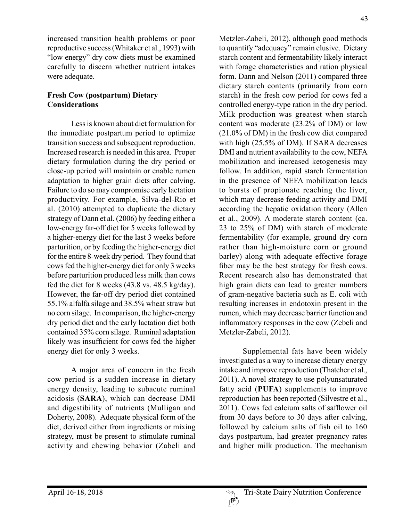increased transition health problems or poor reproductive success (Whitaker et al., 1993) with "low energy" dry cow diets must be examined carefully to discern whether nutrient intakes were adequate.

# **Fresh Cow (postpartum) Dietary Considerations**

Less is known about diet formulation for the immediate postpartum period to optimize transition success and subsequent reproduction. Increased research is needed in this area. Proper dietary formulation during the dry period or close-up period will maintain or enable rumen adaptation to higher grain diets after calving. Failure to do so may compromise early lactation productivity. For example, Silva-del-Rio et al. (2010) attempted to duplicate the dietary strategy of Dann et al. (2006) by feeding either a low-energy far-off diet for 5 weeks followed by a higher-energy diet for the last 3 weeks before parturition, or by feeding the higher-energy diet for the entire 8-week dry period. They found that cows fed the higher-energy diet for only 3 weeks before parturition produced less milk than cows fed the diet for 8 weeks (43.8 vs. 48.5 kg/day). However, the far-off dry period diet contained 55.1% alfalfa silage and 38.5% wheat straw but no corn silage. In comparison, the higher-energy dry period diet and the early lactation diet both contained 35% corn silage. Ruminal adaptation likely was insufficient for cows fed the higher energy diet for only 3 weeks.

A major area of concern in the fresh cow period is a sudden increase in dietary energy density, leading to subacute ruminal acidosis (**SARA**), which can decrease DMI and digestibility of nutrients (Mulligan and Doherty, 2008). Adequate physical form of the diet, derived either from ingredients or mixing strategy, must be present to stimulate ruminal activity and chewing behavior (Zabeli and Metzler-Zabeli, 2012), although good methods to quantify "adequacy" remain elusive. Dietary starch content and fermentability likely interact with forage characteristics and ration physical form. Dann and Nelson (2011) compared three dietary starch contents (primarily from corn starch) in the fresh cow period for cows fed a controlled energy-type ration in the dry period. Milk production was greatest when starch content was moderate (23.2% of DM) or low (21.0% of DM) in the fresh cow diet compared with high (25.5% of DM). If SARA decreases DMI and nutrient availability to the cow, NEFA mobilization and increased ketogenesis may follow. In addition, rapid starch fermentation in the presence of NEFA mobilization leads to bursts of propionate reaching the liver, which may decrease feeding activity and DMI according the hepatic oxidation theory (Allen et al., 2009). A moderate starch content (ca. 23 to 25% of DM) with starch of moderate fermentability (for example, ground dry corn rather than high-moisture corn or ground barley) along with adequate effective forage fiber may be the best strategy for fresh cows. Recent research also has demonstrated that high grain diets can lead to greater numbers of gram-negative bacteria such as E. coli with resulting increases in endotoxin present in the rumen, which may decrease barrier function and inflammatory responses in the cow (Zebeli and Metzler-Zabeli, 2012).

Supplemental fats have been widely investigated as a way to increase dietary energy intake and improve reproduction (Thatcher et al., 2011). A novel strategy to use polyunsaturated fatty acid (**PUFA**) supplements to improve reproduction has been reported (Silvestre et al., 2011). Cows fed calcium salts of safflower oil from 30 days before to 30 days after calving, followed by calcium salts of fish oil to 160 days postpartum, had greater pregnancy rates and higher milk production. The mechanism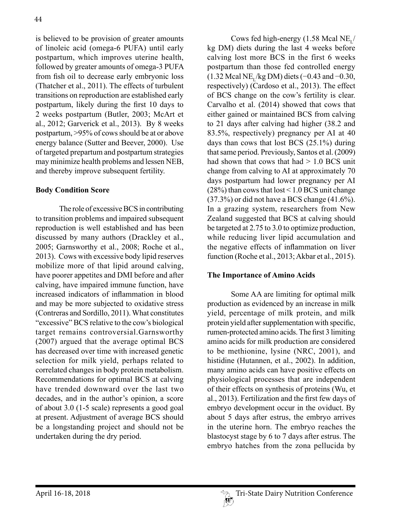is believed to be provision of greater amounts of linoleic acid (omega-6 PUFA) until early postpartum, which improves uterine health, followed by greater amounts of omega-3 PUFA from fish oil to decrease early embryonic loss (Thatcher et al., 2011). The effects of turbulent transitions on reproduction are established early postpartum, likely during the first 10 days to 2 weeks postpartum (Butler, 2003; McArt et al., 2012; Garverick et al., 2013). By 8 weeks postpartum, >95% of cows should be at or above energy balance (Sutter and Beever, 2000). Use of targeted prepartum and postpartum strategies may minimize health problems and lessen NEB, and thereby improve subsequent fertility.

# **Body Condition Score**

The role of excessive BCS in contributing to transition problems and impaired subsequent reproduction is well established and has been discussed by many authors (Drackley et al., 2005; Garnsworthy et al., 2008; Roche et al., 2013). Cows with excessive body lipid reserves mobilize more of that lipid around calving, have poorer appetites and DMI before and after calving, have impaired immune function, have increased indicators of inflammation in blood and may be more subjected to oxidative stress (Contreras and Sordillo, 2011). What constitutes "excessive" BCS relative to the cow's biological target remains controversial.Garnsworthy (2007) argued that the average optimal BCS has decreased over time with increased genetic selection for milk yield, perhaps related to correlated changes in body protein metabolism. Recommendations for optimal BCS at calving have trended downward over the last two decades, and in the author's opinion, a score of about 3.0 (1-5 scale) represents a good goal at present. Adjustment of average BCS should be a longstanding project and should not be undertaken during the dry period.

Cows fed high-energy  $(1.58 \text{ Mea}) \text{ NE}_1$ kg DM) diets during the last 4 weeks before calving lost more BCS in the first 6 weeks postpartum than those fed controlled energy  $(1.32 \text{ Mea} \text{N} \cdot \text{Kg} \text{DM})$  diets  $(-0.43 \text{ and } -0.30,$ respectively) (Cardoso et al., 2013). The effect of BCS change on the cow's fertility is clear. Carvalho et al. (2014) showed that cows that either gained or maintained BCS from calving to 21 days after calving had higher (38.2 and 83.5%, respectively) pregnancy per AI at 40 days than cows that lost BCS (25.1%) during that same period. Previously, Santos et al. (2009) had shown that cows that had  $> 1.0$  BCS unit change from calving to AI at approximately 70 days postpartum had lower pregnancy per AI  $(28%)$  than cows that  $lost < 1.0$  BCS unit change  $(37.3\%)$  or did not have a BCS change  $(41.6\%)$ . In a grazing system, researchers from New Zealand suggested that BCS at calving should be targeted at 2.75 to 3.0 to optimize production, while reducing liver lipid accumulation and the negative effects of inflammation on liver function (Roche et al., 2013; Akbar et al., 2015).

#### **The Importance of Amino Acids**

Some AA are limiting for optimal milk production as evidenced by an increase in milk yield, percentage of milk protein, and milk protein yield after supplementation with specific, rumen-protected amino acids. The first 3 limiting amino acids for milk production are considered to be methionine, lysine (NRC, 2001), and histidine (Hutannen, et al., 2002). In addition, many amino acids can have positive effects on physiological processes that are independent of their effects on synthesis of proteins (Wu, et al., 2013). Fertilization and the first few days of embryo development occur in the oviduct. By about 5 days after estrus, the embryo arrives in the uterine horn. The embryo reaches the blastocyst stage by 6 to 7 days after estrus. The embryo hatches from the zona pellucida by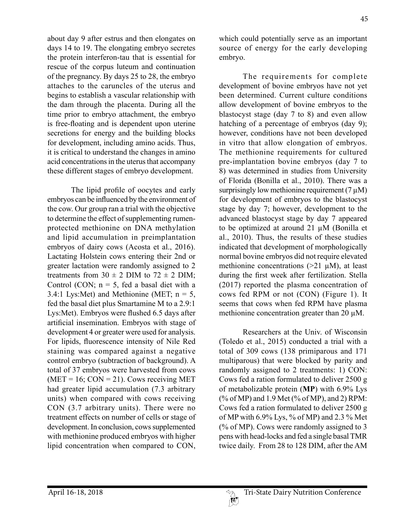about day 9 after estrus and then elongates on days 14 to 19. The elongating embryo secretes the protein interferon-tau that is essential for rescue of the corpus luteum and continuation of the pregnancy. By days 25 to 28, the embryo attaches to the caruncles of the uterus and begins to establish a vascular relationship with the dam through the placenta. During all the time prior to embryo attachment, the embryo is free-floating and is dependent upon uterine secretions for energy and the building blocks for development, including amino acids. Thus, it is critical to understand the changes in amino acid concentrations in the uterus that accompany these different stages of embryo development.

The lipid profile of oocytes and early embryos can be influenced by the environment of the cow. Our group ran a trial with the objective to determine the effect of supplementing rumenprotected methionine on DNA methylation and lipid accumulation in preimplantation embryos of dairy cows (Acosta et al., 2016). Lactating Holstein cows entering their 2nd or greater lactation were randomly assigned to 2 treatments from  $30 \pm 2$  DIM to  $72 \pm 2$  DIM; Control (CON;  $n = 5$ , fed a basal diet with a 3.4:1 Lys: Met) and Methionine (MET;  $n = 5$ , fed the basal diet plus Smartamine M to a 2.9:1 Lys:Met). Embryos were flushed 6.5 days after artificial insemination. Embryos with stage of development 4 or greater were used for analysis. For lipids, fluorescence intensity of Nile Red staining was compared against a negative control embryo (subtraction of background). A total of 37 embryos were harvested from cows  $(MET = 16; CON = 21)$ . Cows receiving MET had greater lipid accumulation (7.3 arbitrary units) when compared with cows receiving CON (3.7 arbitrary units). There were no treatment effects on number of cells or stage of development. In conclusion, cows supplemented with methionine produced embryos with higher lipid concentration when compared to CON,

which could potentially serve as an important source of energy for the early developing embryo.

The requirements for complete development of bovine embryos have not yet been determined. Current culture conditions allow development of bovine embryos to the blastocyst stage (day 7 to 8) and even allow hatching of a percentage of embryos (day 9); however, conditions have not been developed in vitro that allow elongation of embryos. The methionine requirements for cultured pre-implantation bovine embryos (day 7 to 8) was determined in studies from University of Florida (Bonilla et al., 2010). There was a surprisingly low methionine requirement  $(7 \mu M)$ for development of embryos to the blastocyst stage by day 7; however, development to the advanced blastocyst stage by day 7 appeared to be optimized at around 21 µM (Bonilla et al., 2010). Thus, the results of these studies indicated that development of morphologically normal bovine embryos did not require elevated methionine concentrations  $(>21 \mu M)$ , at least during the first week after fertilization. Stella (2017) reported the plasma concentration of cows fed RPM or not (CON) (Figure 1). It seems that cows when fed RPM have plasma methionine concentration greater than 20 µM.

Researchers at the Univ. of Wisconsin (Toledo et al., 2015) conducted a trial with a total of 309 cows (138 primiparous and 171 multiparous) that were blocked by parity and randomly assigned to 2 treatments: 1) CON: Cows fed a ration formulated to deliver 2500 g of metabolizable protein (**MP**) with 6.9% Lys (% of MP) and 1.9 Met (% of MP), and 2) RPM: Cows fed a ration formulated to deliver 2500 g of MP with 6.9% Lys, % of MP) and 2.3 % Met (% of MP). Cows were randomly assigned to 3 pens with head-locks and fed a single basal TMR twice daily. From 28 to 128 DIM, after the AM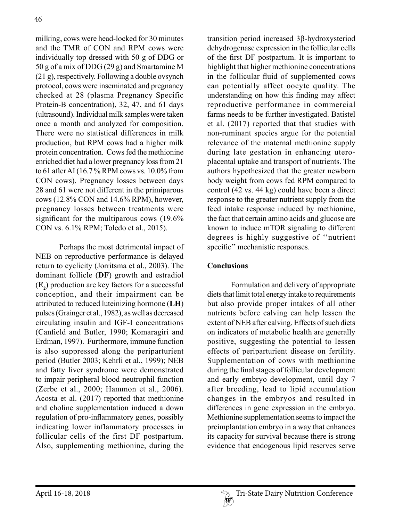milking, cows were head-locked for 30 minutes and the TMR of CON and RPM cows were individually top dressed with 50 g of DDG or 50 g of a mix of DDG (29 g) and Smartamine M (21 g), respectively. Following a double ovsynch protocol, cows were inseminated and pregnancy checked at 28 (plasma Pregnancy Specific Protein-B concentration), 32, 47, and 61 days (ultrasound). Individual milk samples were taken once a month and analyzed for composition. There were no statistical differences in milk production, but RPM cows had a higher milk protein concentration. Cows fed the methionine enriched diet had a lower pregnancy loss from 21 to 61 after AI (16.7 % RPM cows vs. 10.0% from CON cows). Pregnancy losses between days 28 and 61 were not different in the primiparous cows (12.8% CON and 14.6% RPM), however, pregnancy losses between treatments were significant for the multiparous cows (19.6% CON vs. 6.1% RPM; Toledo et al., 2015).

Perhaps the most detrimental impact of NEB on reproductive performance is delayed return to cyclicity (Jorritsma et al., 2003). The dominant follicle (**DF**) growth and estradiol (**E2** ) production are key factors for a successful conception, and their impairment can be attributed to reduced luteinizing hormone (**LH**) pulses (Grainger et al., 1982), as well as decreased circulating insulin and IGF-I concentrations (Canfield and Butler, 1990; Komaragiri and Erdman, 1997). Furthermore, immune function is also suppressed along the periparturient period (Butler 2003; Kehrli et al., 1999); NEB and fatty liver syndrome were demonstrated to impair peripheral blood neutrophil function (Zerbe et al., 2000; Hammon et al., 2006). Acosta et al. (2017) reported that methionine and choline supplementation induced a down regulation of pro-inflammatory genes, possibly indicating lower inflammatory processes in follicular cells of the first DF postpartum. Also, supplementing methionine, during the

transition period increased 3b-hydroxysteriod dehydrogenase expression in the follicular cells of the first DF postpartum. It is important to highlight that higher methionine concentrations in the follicular fluid of supplemented cows can potentially affect oocyte quality. The understanding on how this finding may affect reproductive performance in commercial farms needs to be further investigated. Batistel et al. (2017) reported that that studies with non-ruminant species argue for the potential relevance of the maternal methionine supply during late gestation in enhancing uteroplacental uptake and transport of nutrients. The authors hypothesized that the greater newborn body weight from cows fed RPM compared to control (42 vs. 44 kg) could have been a direct response to the greater nutrient supply from the feed intake response induced by methionine, the fact that certain amino acids and glucose are known to induce mTOR signaling to different degrees is highly suggestive of ''nutrient specific'' mechanistic responses.

# **Conclusions**

Formulation and delivery of appropriate diets that limit total energy intake to requirements but also provide proper intakes of all other nutrients before calving can help lessen the extent of NEB after calving. Effects of such diets on indicators of metabolic health are generally positive, suggesting the potential to lessen effects of periparturient disease on fertility. Supplementation of cows with methionine during the final stages of follicular development and early embryo development, until day 7 after breeding, lead to lipid accumulation changes in the embryos and resulted in differences in gene expression in the embryo. Methionine supplementation seems to impact the preimplantation embryo in a way that enhances its capacity for survival because there is strong evidence that endogenous lipid reserves serve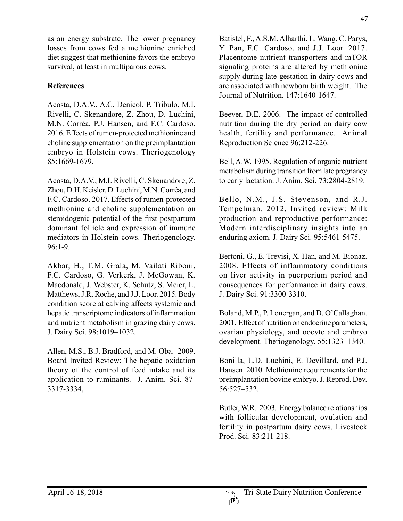as an energy substrate. The lower pregnancy losses from cows fed a methionine enriched diet suggest that methionine favors the embryo survival, at least in multiparous cows.

### **References**

Acosta, D.A.V., A.C. Denicol, P. Tribulo, M.I. Rivelli, C. Skenandore, Z. Zhou, D. Luchini, M.N. Corrêa, P.J. Hansen, and F.C. Cardoso. 2016. Effects of rumen-protected methionine and choline supplementation on the preimplantation embryo in Holstein cows. Theriogenology 85:1669-1679.

Acosta, D.A.V., M.I. Rivelli, C. Skenandore, Z. Zhou, D.H. Keisler, D. Luchini, M.N. Corrêa, and F.C. Cardoso. 2017. Effects of rumen-protected methionine and choline supplementation on steroidogenic potential of the first postpartum dominant follicle and expression of immune mediators in Holstein cows. Theriogenology. 96:1-9.

Akbar, H., T.M. Grala, M. Vailati Riboni, F.C. Cardoso, G. Verkerk, J. McGowan, K. Macdonald, J. Webster, K. Schutz, S. Meier, L. Matthews, J.R. Roche, and J.J. Loor. 2015. Body condition score at calving affects systemic and hepatic transcriptome indicators of inflammation and nutrient metabolism in grazing dairy cows. J. Dairy Sci. 98:1019–1032.

Allen, M.S., B.J. Bradford, and M. Oba. 2009. Board Invited Review: The hepatic oxidation theory of the control of feed intake and its application to ruminants. J. Anim. Sci. 87- 3317-3334,

Batistel, F., A.S.M. Alharthi, L. Wang, C. Parys, Y. Pan, F.C. Cardoso, and J.J. Loor. 2017. Placentome nutrient transporters and mTOR signaling proteins are altered by methionine supply during late-gestation in dairy cows and are associated with newborn birth weight. The Journal of Nutrition. 147:1640-1647.

Beever, D.E. 2006. The impact of controlled nutrition during the dry period on dairy cow health, fertility and performance. Animal Reproduction Science 96:212-226.

Bell, A.W. 1995. Regulation of organic nutrient metabolism during transition from late pregnancy to early lactation. J. Anim. Sci. 73:2804-2819.

Bello, N.M., J.S. Stevenson, and R.J. Tempelman. 2012. Invited review: Milk production and reproductive performance: Modern interdisciplinary insights into an enduring axiom. J. Dairy Sci. 95:5461-5475.

Bertoni, G., E. Trevisi, X. Han, and M. Bionaz. 2008. Effects of inflammatory conditions on liver activity in puerperium period and consequences for performance in dairy cows. J. Dairy Sci. 91:3300-3310.

Boland, M.P., P. Lonergan, and D. O'Callaghan. 2001. Effect of nutrition on endocrine parameters, ovarian physiology, and oocyte and embryo development. Theriogenology. 55:1323–1340.

Bonilla, L,D. Luchini, E. Devillard, and P.J. Hansen. 2010. Methionine requirements for the preimplantation bovine embryo. J. Reprod. Dev. 56:527–532.

Butler, W.R. 2003. Energy balance relationships with follicular development, ovulation and fertility in postpartum dairy cows. Livestock Prod. Sci. 83:211-218.

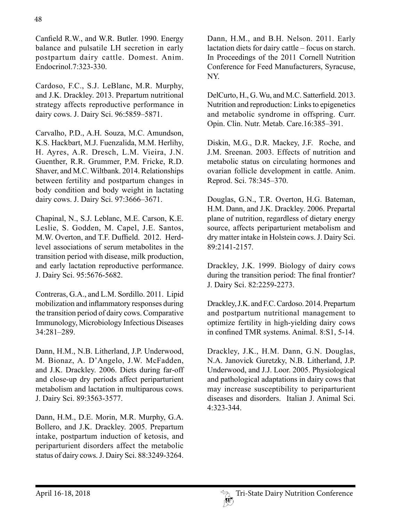Canfield R.W., and W.R. Butler. 1990. Energy balance and pulsatile LH secretion in early postpartum dairy cattle. Domest. Anim. Endocrinol.7:323-330.

Cardoso, F.C., S.J. LeBlanc, M.R. Murphy, and J.K. Drackley. 2013. Prepartum nutritional strategy affects reproductive performance in dairy cows. J. Dairy Sci. 96:5859–5871.

Carvalho, P.D., A.H. Souza, M.C. Amundson, K.S. Hackbart, M.J. Fuenzalida, M.M. Herlihy, H. Ayres, A.R. Dresch, L.M. Vieira, J.N. Guenther, R.R. Grummer, P.M. Fricke, R.D. Shaver, and M.C. Wiltbank. 2014. Relationships between fertility and postpartum changes in body condition and body weight in lactating dairy cows. J. Dairy Sci. 97:3666–3671.

Chapinal, N., S.J. Leblanc, M.E. Carson, K.E. Leslie, S. Godden, M. Capel, J.E. Santos, M.W. Overton, and T.F. Duffield. 2012. Herdlevel associations of serum metabolites in the transition period with disease, milk production, and early lactation reproductive performance. J. Dairy Sci. 95:5676-5682.

Contreras, G.A., and L.M. Sordillo. 2011. Lipid mobilization and inflammatory responses during the transition period of dairy cows. Comparative Immunology, Microbiology Infectious Diseases 34:281–289.

Dann, H.M., N.B. Litherland, J.P. Underwood, M. Bionaz, A. D'Angelo, J.W. McFadden, and J.K. Drackley. 2006. Diets during far-off and close-up dry periods affect periparturient metabolism and lactation in multiparous cows. J. Dairy Sci. 89:3563-3577.

Dann, H.M., D.E. Morin, M.R. Murphy, G.A. Bollero, and J.K. Drackley. 2005. Prepartum intake, postpartum induction of ketosis, and periparturient disorders affect the metabolic status of dairy cows. J. Dairy Sci. 88:3249-3264. Dann, H.M., and B.H. Nelson. 2011. Early lactation diets for dairy cattle – focus on starch. In Proceedings of the 2011 Cornell Nutrition Conference for Feed Manufacturers, Syracuse, NY.

DelCurto, H., G. Wu, and M.C. Satterfield. 2013. Nutrition and reproduction: Links to epigenetics and metabolic syndrome in offspring. Curr. Opin. Clin. Nutr. Metab. Care.16:385–391.

Diskin, M.G., D.R. Mackey, J.F. Roche, and J.M. Sreenan. 2003. Effects of nutrition and metabolic status on circulating hormones and ovarian follicle development in cattle. Anim. Reprod. Sci. 78:345–370.

Douglas, G.N., T.R. Overton, H.G. Bateman, H.M. Dann, and J.K. Drackley. 2006. Prepartal plane of nutrition, regardless of dietary energy source, affects periparturient metabolism and dry matter intake in Holstein cows. J. Dairy Sci. 89:2141-2157.

Drackley, J.K. 1999. Biology of dairy cows during the transition period: The final frontier? J. Dairy Sci. 82:2259-2273.

Drackley, J.K. and F.C. Cardoso. 2014. Prepartum and postpartum nutritional management to optimize fertility in high-yielding dairy cows in confined TMR systems. Animal. 8:S1, 5-14.

Drackley, J.K., H.M. Dann, G.N. Douglas, N.A. Janovick Guretzky, N.B. Litherland, J.P. Underwood, and J.J. Loor. 2005. Physiological and pathological adaptations in dairy cows that may increase susceptibility to periparturient diseases and disorders. Italian J. Animal Sci. 4:323-344.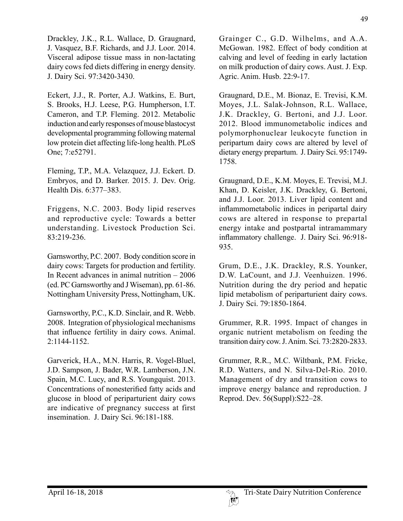Drackley, J.K., R.L. Wallace, D. Graugnard, J. Vasquez, B.F. Richards, and J.J. Loor. 2014. Visceral adipose tissue mass in non-lactating dairy cows fed diets differing in energy density. J. Dairy Sci. 97:3420-3430.

Eckert, J.J., R. Porter, A.J. Watkins, E. Burt, S. Brooks, H.J. Leese, P.G. Humpherson, I.T. Cameron, and T.P. Fleming. 2012. Metabolic induction and early responses of mouse blastocyst developmental programming following maternal low protein diet affecting life-long health. PLoS One; 7:e52791.

Fleming, T.P., M.A. Velazquez, J.J. Eckert. D. Embryos, and D. Barker. 2015. J. Dev. Orig. Health Dis. 6:377–383.

Friggens, N.C. 2003. Body lipid reserves and reproductive cycle: Towards a better understanding. Livestock Production Sci. 83:219-236.

Garnsworthy, P.C. 2007. Body condition score in dairy cows: Targets for production and fertility. In Recent advances in animal nutrition – 2006 (ed. PC Garnsworthy and J Wiseman), pp. 61-86. Nottingham University Press, Nottingham, UK.

Garnsworthy, P.C., K.D. Sinclair, and R. Webb. 2008. Integration of physiological mechanisms that influence fertility in dairy cows. Animal. 2:1144-1152.

Garverick, H.A., M.N. Harris, R. Vogel-Bluel, J.D. Sampson, J. Bader, W.R. Lamberson, J.N. Spain, M.C. Lucy, and R.S. Youngquist. 2013. Concentrations of nonesterified fatty acids and glucose in blood of periparturient dairy cows are indicative of pregnancy success at first insemination. J. Dairy Sci. 96:181-188.

Grainger C., G.D. Wilhelms, and A.A. McGowan. 1982. Effect of body condition at calving and level of feeding in early lactation on milk production of dairy cows. Aust. J. Exp. Agric. Anim. Husb. 22:9-17.

Graugnard, D.E., M. Bionaz, E. Trevisi, K.M. Moyes, J.L. Salak-Johnson, R.L. Wallace, J.K. Drackley, G. Bertoni, and J.J. Loor. 2012. Blood immunometabolic indices and polymorphonuclear leukocyte function in peripartum dairy cows are altered by level of dietary energy prepartum. J. Dairy Sci. 95:1749- 1758.

Graugnard, D.E., K.M. Moyes, E. Trevisi, M.J. Khan, D. Keisler, J.K. Drackley, G. Bertoni, and J.J. Loor. 2013. Liver lipid content and inflammometabolic indices in peripartal dairy cows are altered in response to prepartal energy intake and postpartal intramammary inflammatory challenge. J. Dairy Sci. 96:918- 935.

Grum, D.E., J.K. Drackley, R.S. Younker, D.W. LaCount, and J.J. Veenhuizen. 1996. Nutrition during the dry period and hepatic lipid metabolism of periparturient dairy cows. J. Dairy Sci. 79:1850-1864.

Grummer, R.R. 1995. Impact of changes in organic nutrient metabolism on feeding the transition dairy cow. J. Anim. Sci. 73:2820-2833.

Grummer, R.R., M.C. Wiltbank, P.M. Fricke, R.D. Watters, and N. Silva-Del-Rio. 2010. Management of dry and transition cows to improve energy balance and reproduction. J Reprod. Dev. 56(Suppl):S22–28.

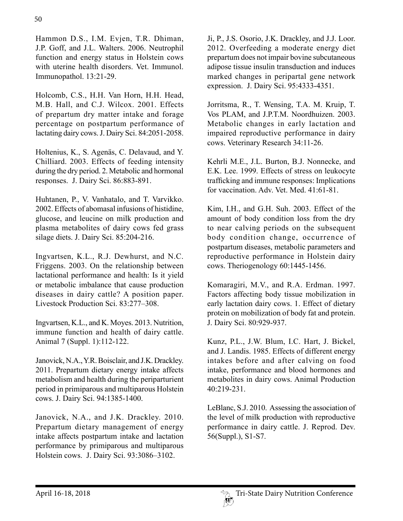Hammon D.S., I.M. Evjen, T.R. Dhiman, J.P. Goff, and J.L. Walters. 2006. Neutrophil function and energy status in Holstein cows with uterine health disorders. Vet. Immunol. Immunopathol. 13:21-29.

Holcomb, C.S., H.H. Van Horn, H.H. Head, M.B. Hall, and C.J. Wilcox. 2001. Effects of prepartum dry matter intake and forage percentage on postpartum performance of lactating dairy cows. J. Dairy Sci. 84:2051-2058.

Holtenius, K., S. Agenäs, C. Delavaud, and Y. Chilliard. 2003. Effects of feeding intensity during the dry period. 2. Metabolic and hormonal responses. J. Dairy Sci. 86:883-891.

Huhtanen, P., V. Vanhatalo, and T. Varvikko. 2002. Effects of abomasal infusions of histidine, glucose, and leucine on milk production and plasma metabolites of dairy cows fed grass silage diets. J. Dairy Sci. 85:204-216.

Ingvartsen, K.L., R.J. Dewhurst, and N.C. Friggens. 2003. On the relationship between lactational performance and health: Is it yield or metabolic imbalance that cause production diseases in dairy cattle? A position paper. Livestock Production Sci. 83:277–308.

Ingvartsen, K.L., and K. Moyes. 2013. Nutrition, immune function and health of dairy cattle. Animal 7 (Suppl. 1):112-122.

Janovick, N.A., Y.R. Boisclair, and J.K. Drackley. 2011. Prepartum dietary energy intake affects metabolism and health during the periparturient period in primiparous and multiparous Holstein cows. J. Dairy Sci. 94:1385-1400.

Janovick, N.A., and J.K. Drackley. 2010. Prepartum dietary management of energy intake affects postpartum intake and lactation performance by primiparous and multiparous Holstein cows. J. Dairy Sci. 93:3086–3102.

Ji, P., J.S. Osorio, J.K. Drackley, and J.J. Loor. 2012. Overfeeding a moderate energy diet prepartum does not impair bovine subcutaneous adipose tissue insulin transduction and induces marked changes in peripartal gene network expression. J. Dairy Sci. 95:4333-4351.

Jorritsma, R., T. Wensing, T.A. M. Kruip, T. Vos PLAM, and J.P.T.M. Noordhuizen. 2003. Metabolic changes in early lactation and impaired reproductive performance in dairy cows. Veterinary Research 34:11-26.

Kehrli M.E., J.L. Burton, B.J. Nonnecke, and E.K. Lee. 1999. Effects of stress on leukocyte trafficking and immune responses: Implications for vaccination. Adv. Vet. Med. 41:61-81.

Kim, I.H., and G.H. Suh. 2003. Effect of the amount of body condition loss from the dry to near calving periods on the subsequent body condition change, occurrence of postpartum diseases, metabolic parameters and reproductive performance in Holstein dairy cows. Theriogenology 60:1445-1456.

Komaragiri, M.V., and R.A. Erdman. 1997. Factors affecting body tissue mobilization in early lactation dairy cows. 1. Effect of dietary protein on mobilization of body fat and protein. J. Dairy Sci. 80:929-937.

Kunz, P.L., J.W. Blum, I.C. Hart, J. Bickel, and J. Landis. 1985. Effects of different energy intakes before and after calving on food intake, performance and blood hormones and metabolites in dairy cows. Animal Production 40:219-231.

LeBlanc, S.J. 2010. Assessing the association of the level of milk production with reproductive performance in dairy cattle. J. Reprod. Dev. 56(Suppl.), S1-S7.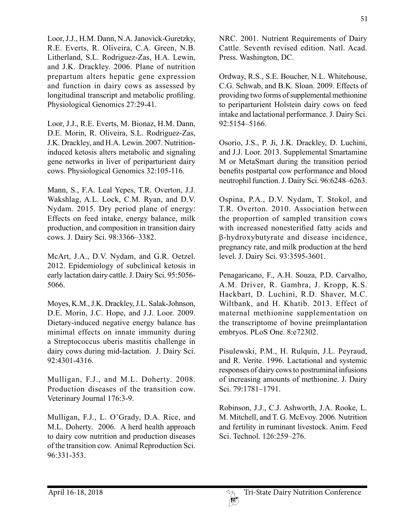51

Loor, J.J., H.M. Dann, N.A. Janovick-Guretzky, R.E. Everts, R. Oliveira, C.A. Green, N.B. Litherland, S.L. Rodriguez-Zas, H.A. Lewin, and J.K. Drackley. 2006. Plane of nutrition prepartum alters hepatic gene expression and function in dairy cows as assessed by longitudinal transcript and metabolic profiling. Physiological Genomics 27:29-41.

Loor, J.J., R.E. Everts, M. Bionaz, H.M. Dann, D.E. Morin, R. Oliveira, S.L. Rodriguez-Zas, J.K. Drackley, and H.A. Lewin. 2007. Nutritioninduced ketosis alters metabolic and signaling gene networks in liver of periparturient dairy cows. Physiological Genomics 32:105-116.

Mann, S., F.A. Leal Yepes, T.R. Overton, J.J. Wakshlag, A.L. Lock, C.M. Ryan, and D.V. Nydam. 2015. Dry period plane of energy: Effects on feed intake, energy balance, milk production, and composition in transition dairy cows. J. Dairy Sci. 98:3366–3382.

McArt, J.A., D.V. Nydam, and G.R. Oetzel. 2012. Epidemiology of subclinical ketosis in early lactation dairy cattle. J. Dairy Sci. 95:5056- 5066.

Moyes, K.M., J.K. Drackley, J.L. Salak-Johnson, D.E. Morin, J.C. Hope, and J.J. Loor. 2009. Dietary-induced negative energy balance has minimal effects on innate immunity during a Streptococcus uberis mastitis challenge in dairy cows during mid-lactation. J. Dairy Sci. 92:4301-4316.

Mulligan, F.J., and M.L. Doherty. 2008. Production diseases of the transition cow. Veterinary Journal 176:3-9.

Mulligan, F.J., L. O'Grady, D.A. Rice, and M.L. Doherty. 2006. A herd health approach to dairy cow nutrition and production diseases of the transition cow. Animal Reproduction Sci. 96:331-353.

NRC. 2001. Nutrient Requirements of Dairy Cattle. Seventh revised edition. Natl. Acad. Press. Washington, DC.

Ordway, R.S., S.E. Boucher, N.L. Whitehouse, C.G. Schwab, and B.K. Sloan. 2009. Effects of providing two forms of supplemental methionine to periparturient Holstein dairy cows on feed intake and lactational performance. J. Dairy Sci. 92:5154–5166.

Osorio, J.S., P. Ji, J.K. Drackley, D. Luchini, and J.J. Loor. 2013. Supplemental Smartamine M or MetaSmart during the transition period benefits postpartal cow performance and blood neutrophil function. J. Dairy Sci. 96:6248–6263.

Ospina, P.A., D.V. Nydam, T. Stokol, and T.R. Overton. 2010. Association between the proportion of sampled transition cows with increased nonesterified fatty acids and β-hydroxybutyrate and disease incidence, pregnancy rate, and milk production at the herd level. J. Dairy Sci. 93:3595-3601.

Penagaricano, F., A.H. Souza, P.D. Carvalho, A.M. Driver, R. Gambra, J. Kropp, K.S. Hackbart, D. Luchini, R.D. Shaver, M.C. Wiltbank, and H. Khatib. 2013. Effect of maternal methionine supplementation on the transcriptome of bovine preimplantation embryos. PLoS One. 8:e72302.

Pisulewski, P.M., H. Rulquin, J.L. Peyraud, and R. Verite. 1996. Lactational and systemic responses of dairy cows to postruminal infusions of increasing amounts of methionine. J. Dairy Sci. 79:1781–1791.

Robinson, J.J., C.J. Ashworth, J.A. Rooke, L. M. Mitchell, and T. G. McEvoy. 2006. Nutrition and fertility in ruminant livestock. Anim. Feed Sci. Technol. 126:259–276.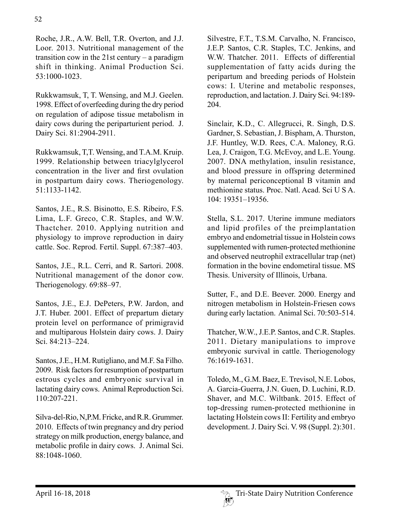Roche, J.R., A.W. Bell, T.R. Overton, and J.J. Loor. 2013. Nutritional management of the transition cow in the 21st century – a paradigm shift in thinking. Animal Production Sci. 53:1000-1023.

Rukkwamsuk, T, T. Wensing, and M.J. Geelen. 1998. Effect of overfeeding during the dry period on regulation of adipose tissue metabolism in dairy cows during the periparturient period. J. Dairy Sci. 81:2904-2911.

Rukkwamsuk, T,T. Wensing, and T.A.M. Kruip. 1999. Relationship between triacylglycerol concentration in the liver and first ovulation in postpartum dairy cows. Theriogenology. 51:1133-1142.

Santos, J.E., R.S. Bisinotto, E.S. Ribeiro, F.S. Lima, L.F. Greco, C.R. Staples, and W.W. Thactcher. 2010. Applying nutrition and physiology to improve reproduction in dairy cattle. Soc. Reprod. Fertil. Suppl. 67:387–403.

Santos, J.E., R.L. Cerri, and R. Sartori. 2008. Nutritional management of the donor cow. Theriogenology. 69:88–97.

Santos, J.E., E.J. DePeters, P.W. Jardon, and J.T. Huber. 2001. Effect of prepartum dietary protein level on performance of primigravid and multiparous Holstein dairy cows. J. Dairy Sci. 84:213–224.

Santos, J.E., H.M. Rutigliano, and M.F. Sa Filho. 2009. Risk factors for resumption of postpartum estrous cycles and embryonic survival in lactating dairy cows. Animal Reproduction Sci. 110:207-221.

Silva-del-Rio, N,P.M. Fricke, and R.R. Grummer. 2010. Effects of twin pregnancy and dry period strategy on milk production, energy balance, and metabolic profile in dairy cows. J. Animal Sci. 88:1048-1060.

Silvestre, F.T., T.S.M. Carvalho, N. Francisco, J.E.P. Santos, C.R. Staples, T.C. Jenkins, and W.W. Thatcher. 2011. Effects of differential supplementation of fatty acids during the peripartum and breeding periods of Holstein cows: I. Uterine and metabolic responses, reproduction, and lactation. J. Dairy Sci. 94:189- 204.

Sinclair, K.D., C. Allegrucci, R. Singh, D.S. Gardner, S. Sebastian, J. Bispham, A. Thurston, J.F. Huntley, W.D. Rees, C.A. Maloney, R.G. Lea, J. Craigon, T.G. McEvoy, and L.E. Young. 2007. DNA methylation, insulin resistance, and blood pressure in offspring determined by maternal periconceptional B vitamin and methionine status. Proc. Natl. Acad. Sci U S A. 104: 19351–19356.

Stella, S.L. 2017. Uterine immune mediators and lipid profiles of the preimplantation embryo and endometrial tissue in Holstein cows supplemented with rumen-protected methionine and observed neutrophil extracellular trap (net) formation in the bovine endometiral tissue. MS Thesis. University of Illinois, Urbana.

Sutter, F., and D.E. Beever. 2000. Energy and nitrogen metabolism in Holstein-Friesen cows during early lactation. Animal Sci. 70:503-514.

Thatcher, W.W., J.E.P. Santos, and C.R. Staples. 2011. Dietary manipulations to improve embryonic survival in cattle. Theriogenology 76:1619-1631.

Toledo, M., G.M. Baez, E. Trevisol, N.E. Lobos, A. Garcia-Guerra, J.N. Guen, D. Luchini, R.D. Shaver, and M.C. Wiltbank. 2015. Effect of top-dressing rumen-protected methionine in lactating Holstein cows II: Fertility and embryo development. J. Dairy Sci. V. 98 (Suppl. 2):301.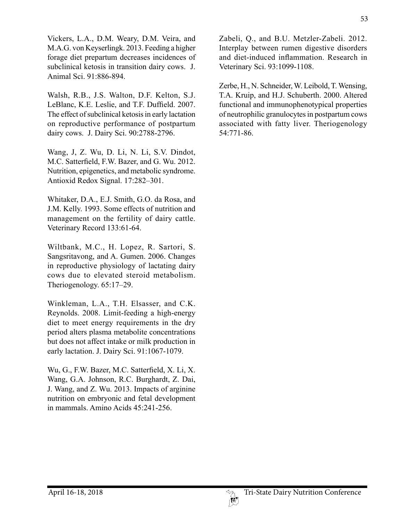Vickers, L.A., D.M. Weary, D.M. Veira, and M.A.G. von Keyserlingk. 2013. Feeding a higher forage diet prepartum decreases incidences of subclinical ketosis in transition dairy cows. J. Animal Sci. 91:886-894.

Walsh, R.B., J.S. Walton, D.F. Kelton, S.J. LeBlanc, K.E. Leslie, and T.F. Duffield. 2007. The effect of subclinical ketosis in early lactation on reproductive performance of postpartum dairy cows. J. Dairy Sci. 90:2788-2796.

Wang, J, Z. Wu, D. Li, N. Li, S.V. Dindot, M.C. Satterfield, F.W. Bazer, and G. Wu. 2012. Nutrition, epigenetics, and metabolic syndrome. Antioxid Redox Signal. 17:282–301.

Whitaker, D.A., E.J. Smith, G.O. da Rosa, and J.M. Kelly. 1993. Some effects of nutrition and management on the fertility of dairy cattle. Veterinary Record 133:61-64.

Wiltbank, M.C., H. Lopez, R. Sartori, S. Sangsritavong, and A. Gumen. 2006. Changes in reproductive physiology of lactating dairy cows due to elevated steroid metabolism. Theriogenology. 65:17–29.

Winkleman, L.A., T.H. Elsasser, and C.K. Reynolds. 2008. Limit-feeding a high-energy diet to meet energy requirements in the dry period alters plasma metabolite concentrations but does not affect intake or milk production in early lactation. J. Dairy Sci. 91:1067-1079.

Wu, G., F.W. Bazer, M.C. Satterfield, X. Li, X. Wang, G.A. Johnson, R.C. Burghardt, Z. Dai, J. Wang, and Z. Wu. 2013. Impacts of arginine nutrition on embryonic and fetal development in mammals. Amino Acids 45:241-256.

Zabeli, Q., and B.U. Metzler-Zabeli. 2012. Interplay between rumen digestive disorders and diet-induced inflammation. Research in Veterinary Sci. 93:1099-1108.

Zerbe, H., N. Schneider, W. Leibold, T. Wensing, T.A. Kruip, and H.J. Schuberth. 2000. Altered functional and immunophenotypical properties of neutrophilic granulocytes in postpartum cows associated with fatty liver. Theriogenology 54:771-86.